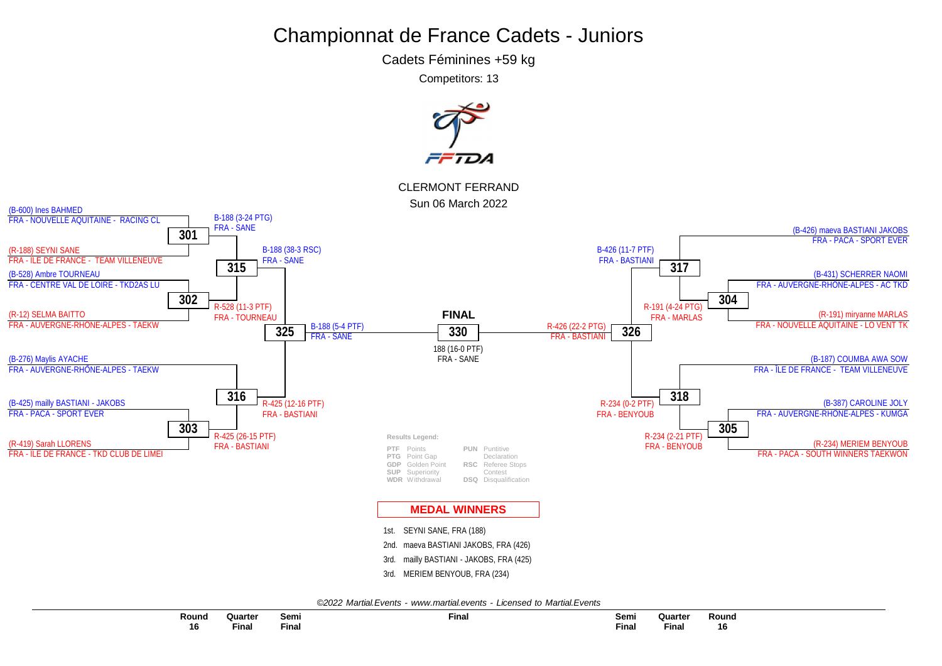Cadets Féminines +59 kg

Competitors: 13

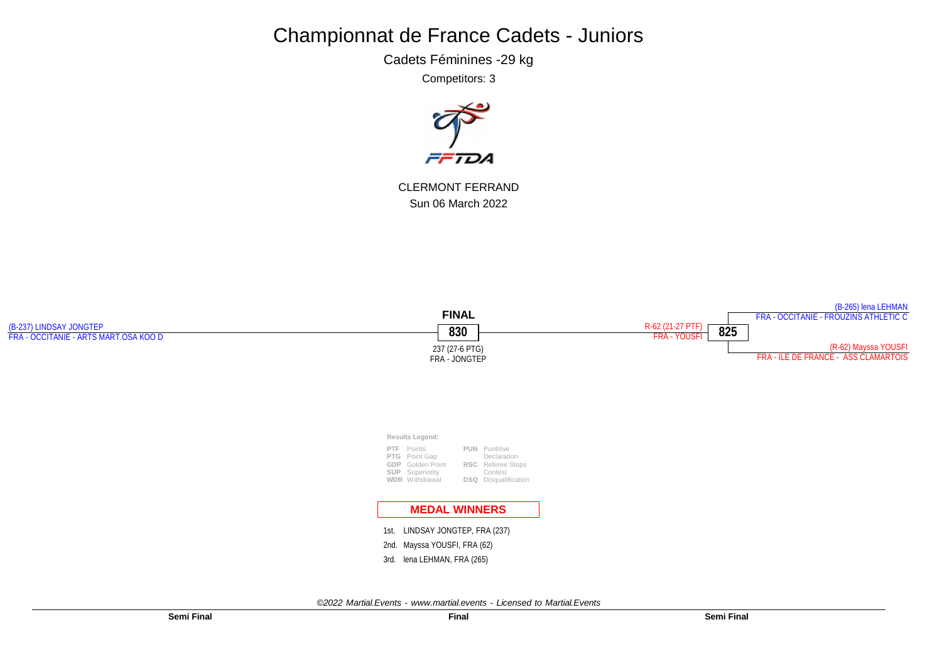Cadets Féminines -29 kg

Competitors: 3



CLERMONT FERRAND Sun 06 March 2022

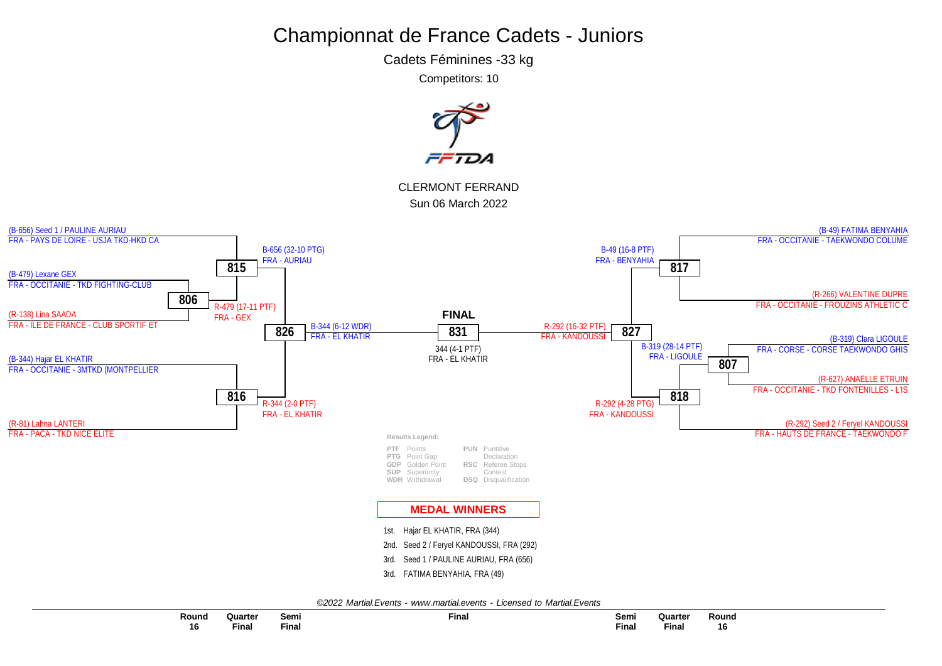Cadets Féminines -33 kg

Competitors: 10

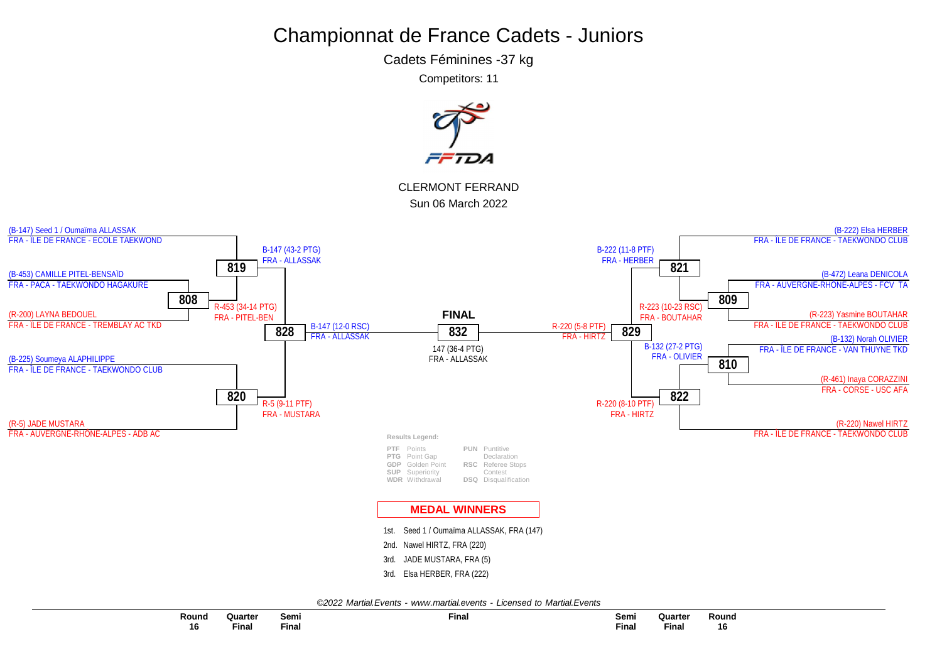Cadets Féminines -37 kg

Competitors: 11

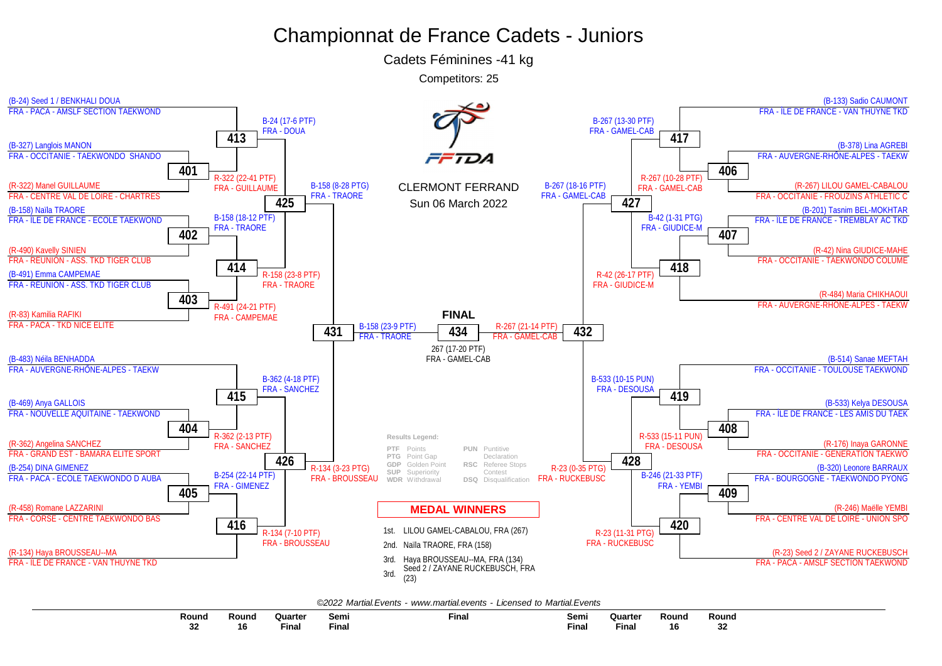Cadets Féminines -41 kg

Competitors: 25



|  |  | ©2022 Martial.Events - www.martial.events - Licensed to Martial.Events |  |  |  |  |
|--|--|------------------------------------------------------------------------|--|--|--|--|
|--|--|------------------------------------------------------------------------|--|--|--|--|

| Round                 | Round                | วแarter | Semi  | Final | Semi  | Quarter | Round | Rounc |
|-----------------------|----------------------|---------|-------|-------|-------|---------|-------|-------|
|                       |                      |         |       |       |       |         |       |       |
| n <sub>n</sub><br>-94 | $\overline{ }$<br>10 | Fina.   | Final |       | Final | Final   | 16    |       |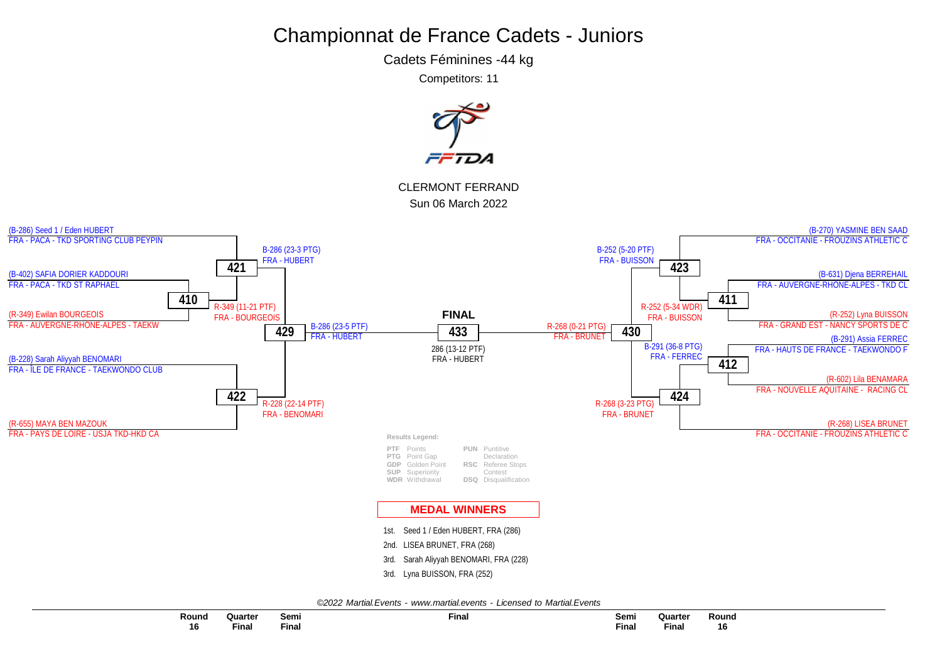Cadets Féminines -44 kg

Competitors: 11

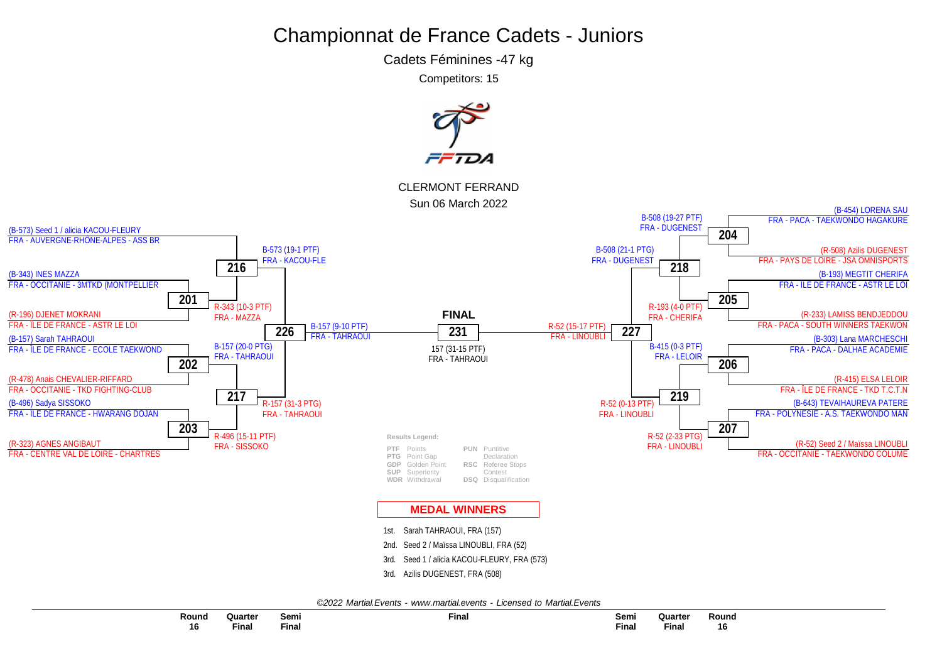Cadets Féminines -47 kg

Competitors: 15

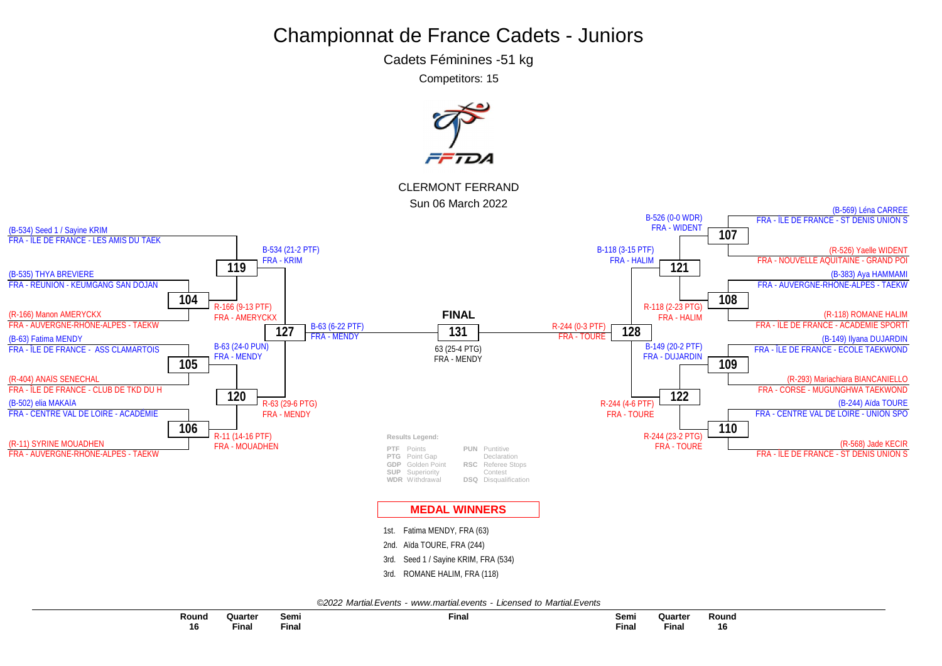Cadets Féminines -51 kg

Competitors: 15

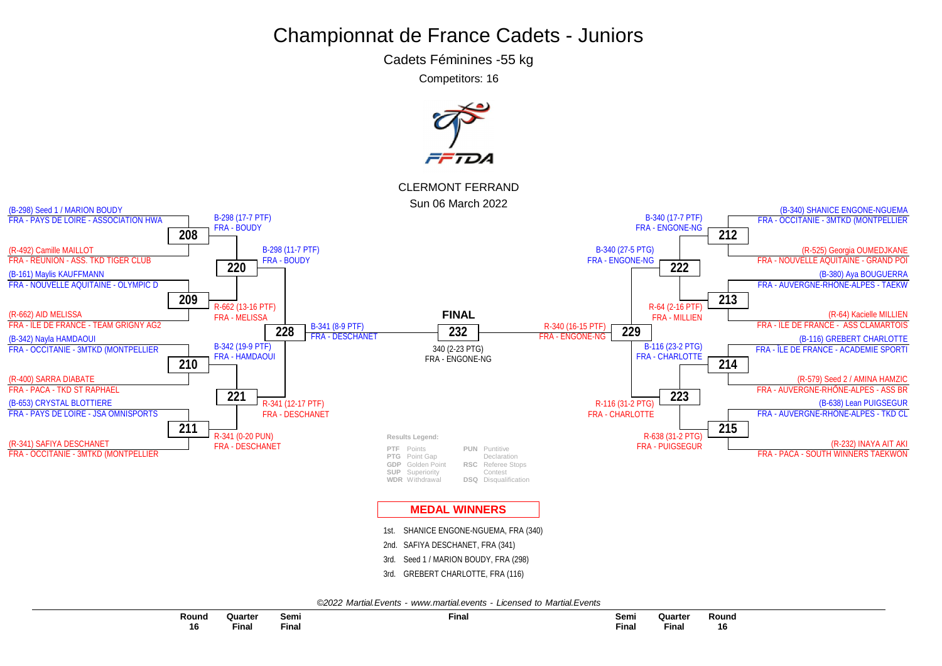Cadets Féminines -55 kg

Competitors: 16

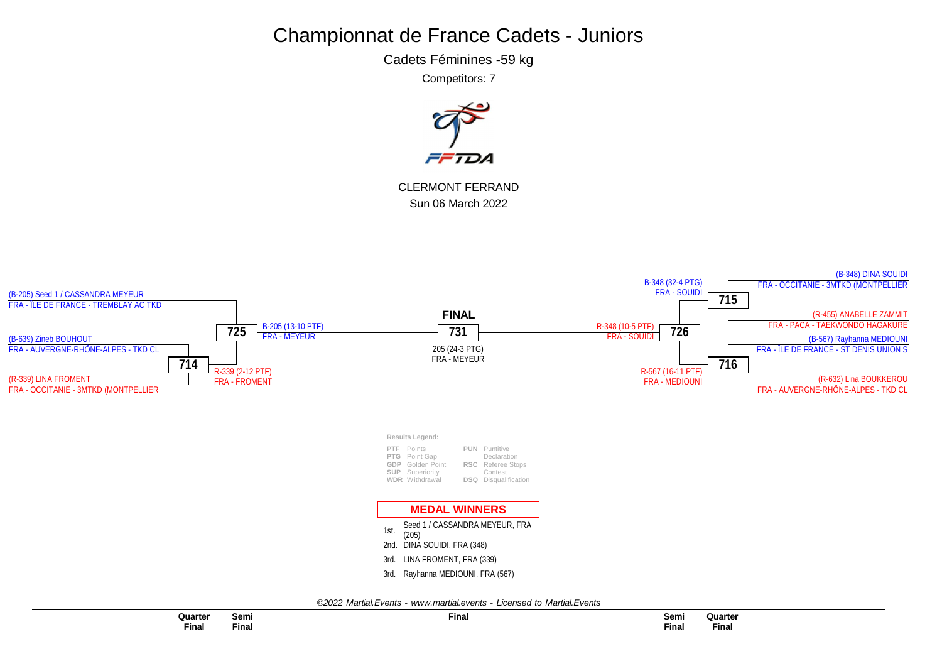Cadets Féminines -59 kg

Competitors: 7



CLERMONT FERRAND Sun 06 March 2022

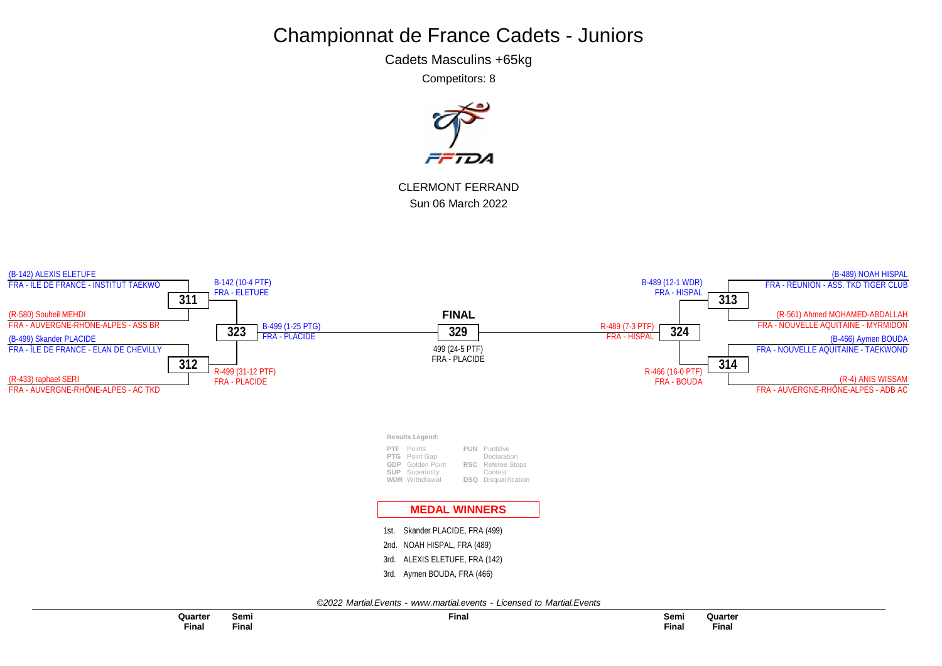Cadets Masculins +65kg

Competitors: 8



CLERMONT FERRAND Sun 06 March 2022



**Final Quarter Final**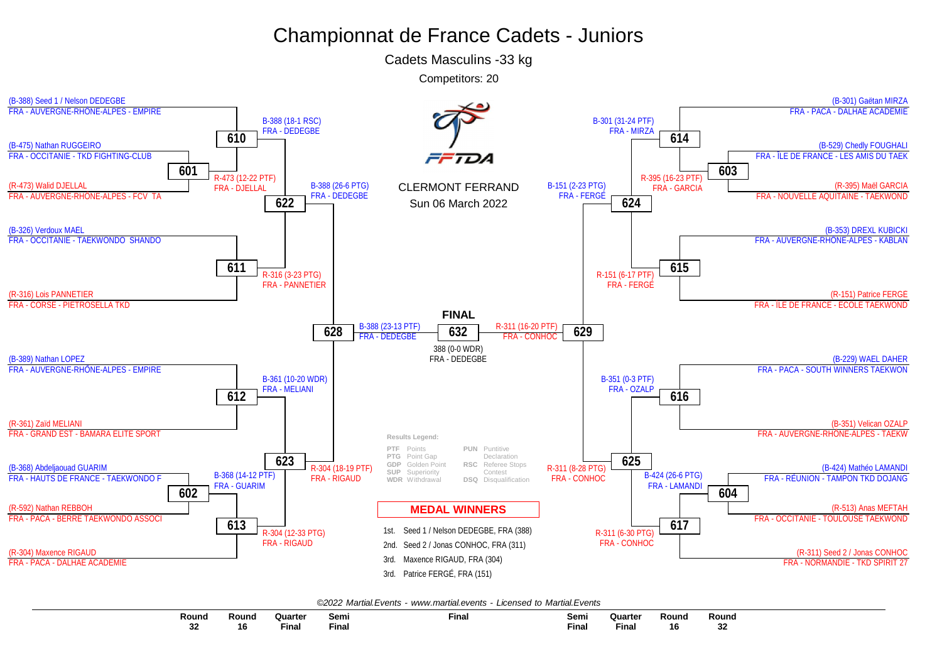Cadets Masculins -33 kg

Competitors: 20



| Round           | Round | Quarte | Semi  | $-$<br>Fina. | Semi  | Quarte | Round | Round    |
|-----------------|-------|--------|-------|--------------|-------|--------|-------|----------|
| <b>nn</b><br>υL | 16    | Final  | Final |              | Final | Final  | 16    | 22<br>32 |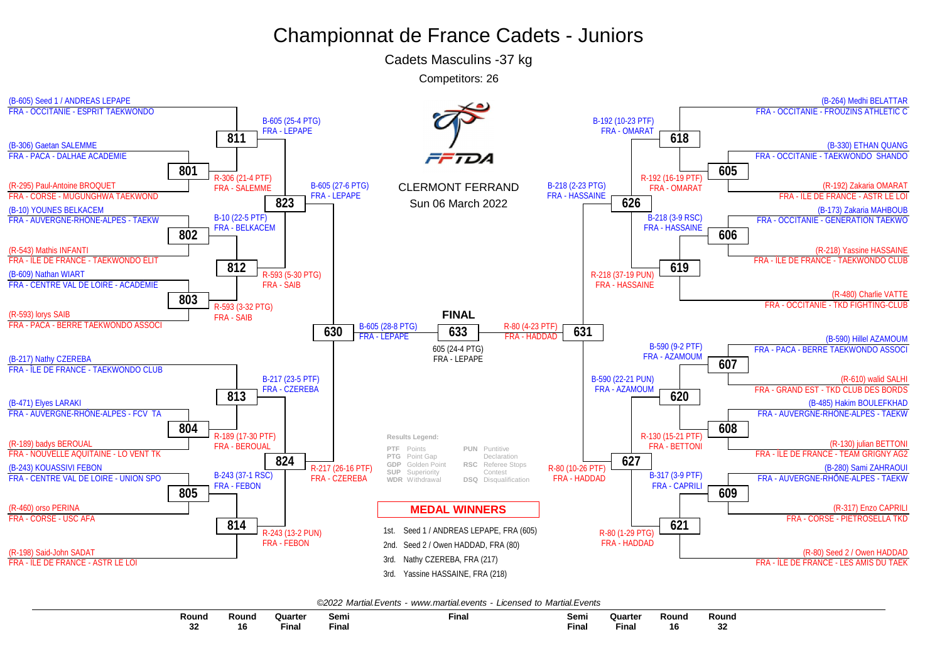Cadets Masculins -37 kg

Competitors: 26



| Round | Round | Quarter<br><b>Contract Contract Contract Contract Contract Contract Contract Contract Contract Contract Contract Contract Co</b> | Semi         | $-$<br>Final | Semi | Quarte<br>and the state of the state of the state of the state of the state of the state of the state of the state of the | Round   | Round |
|-------|-------|----------------------------------------------------------------------------------------------------------------------------------|--------------|--------------|------|---------------------------------------------------------------------------------------------------------------------------|---------|-------|
| ึ้ง∠  | ın    | Final                                                                                                                            | <b>Final</b> |              | Fına | --<br>Final                                                                                                               | "<br>10 |       |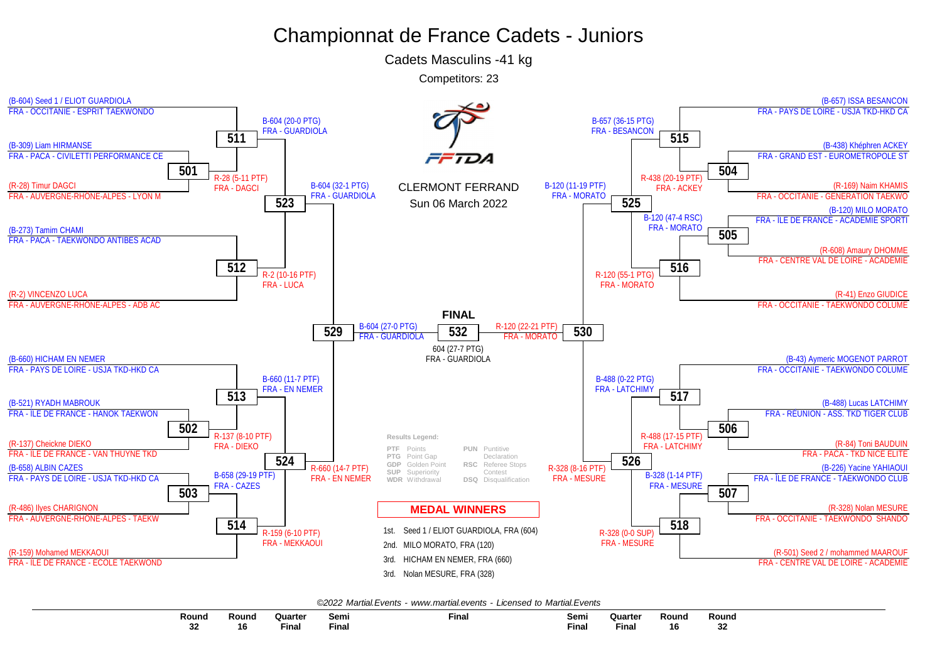Cadets Masculins -41 kg

Competitors: 23



| Round       | Round | <b>Quarte</b> | Semi  | <b>Final</b> | Sem.  | Quarter | Round      | Rouna      |
|-------------|-------|---------------|-------|--------------|-------|---------|------------|------------|
|             |       |               |       |              |       |         |            |            |
| $\sim$<br>◡ | -16   | Final         | Final |              | Final | Fina.   | . .<br>ΙOΙ | o o<br>-JA |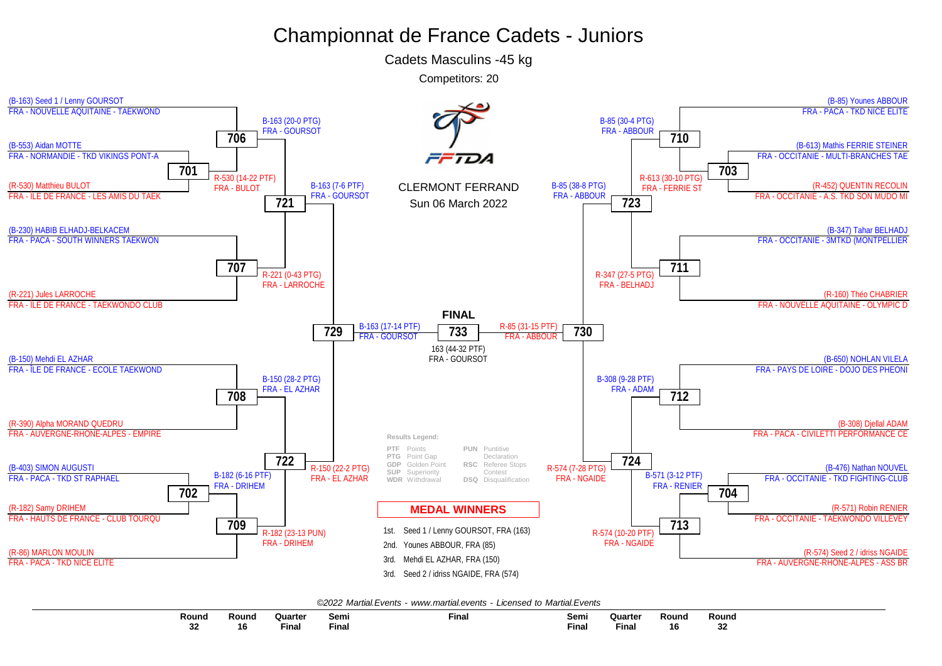Cadets Masculins -45 kg

Competitors: 20



| Round        | Round | Quarte<br>the contract of the contract of the contract of the contract of the contract of | Sem.        | Final | Semi  | Quarter<br>the contract of the contract of the contract of the contract of the contract of | Round | Round       |
|--------------|-------|-------------------------------------------------------------------------------------------|-------------|-------|-------|--------------------------------------------------------------------------------------------|-------|-------------|
| $\sim$<br>◡▵ | 16    | Final                                                                                     | --<br>Fina. |       | Final | <b>Final</b>                                                                               | ם ו   | $\sim$<br>ູ |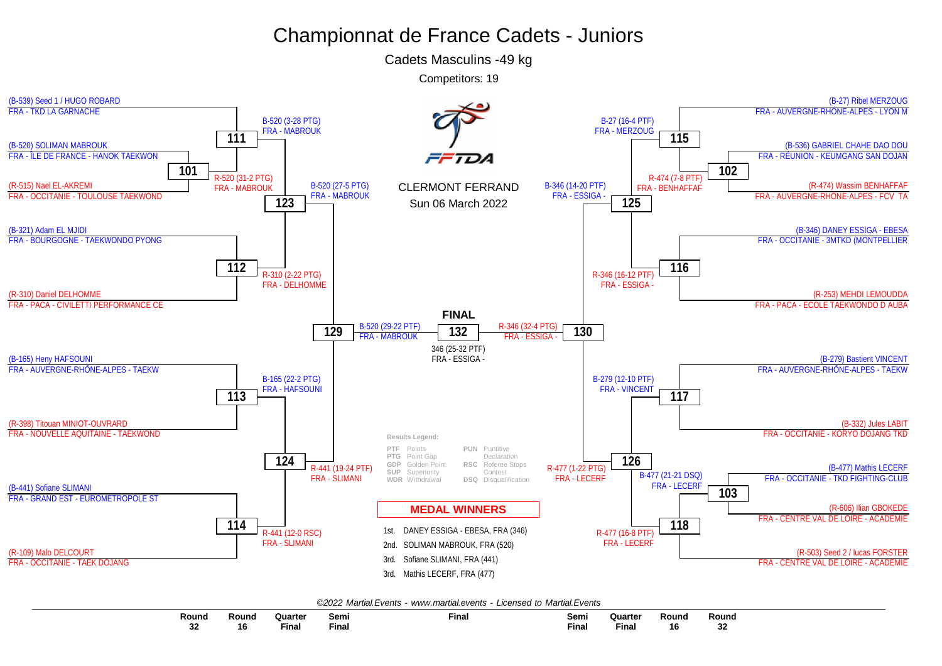Cadets Masculins -49 kg

Competitors: 19



|--|

| $\overline{\phantom{a}}$<br>Round | Round | Quarter                   | Semi  | <b>Final</b> | Sem          | Quarter | Round  | Round         |
|-----------------------------------|-------|---------------------------|-------|--------------|--------------|---------|--------|---------------|
| nn.<br>34<br>$\sim$               | 16    | $- \cdot$<br><b>Final</b> | Final |              | <b>Final</b> | ™ina.   | <br>16 | $\sim$<br>-94 |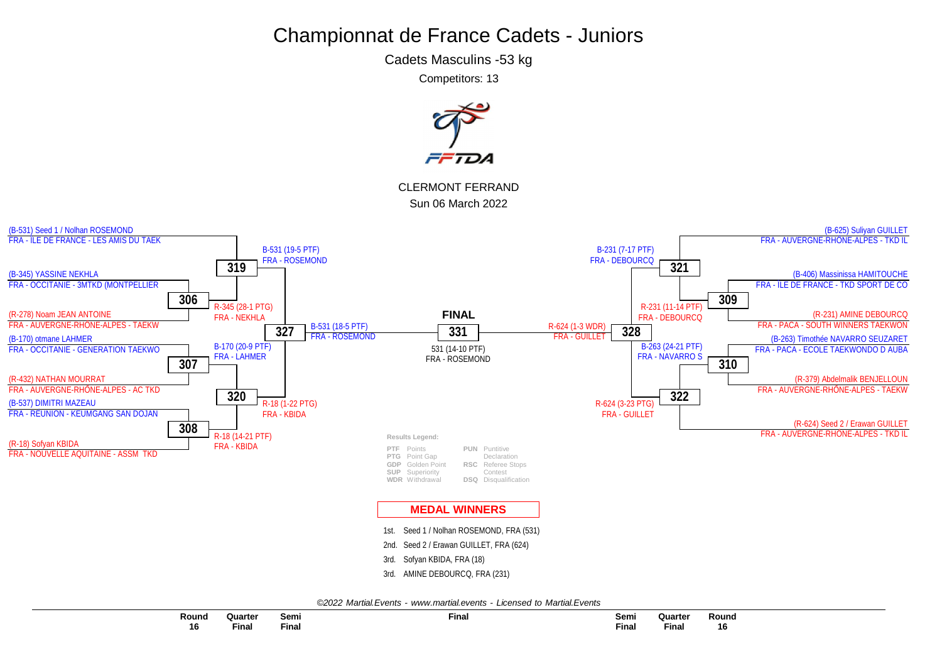Cadets Masculins -53 kg

Competitors: 13

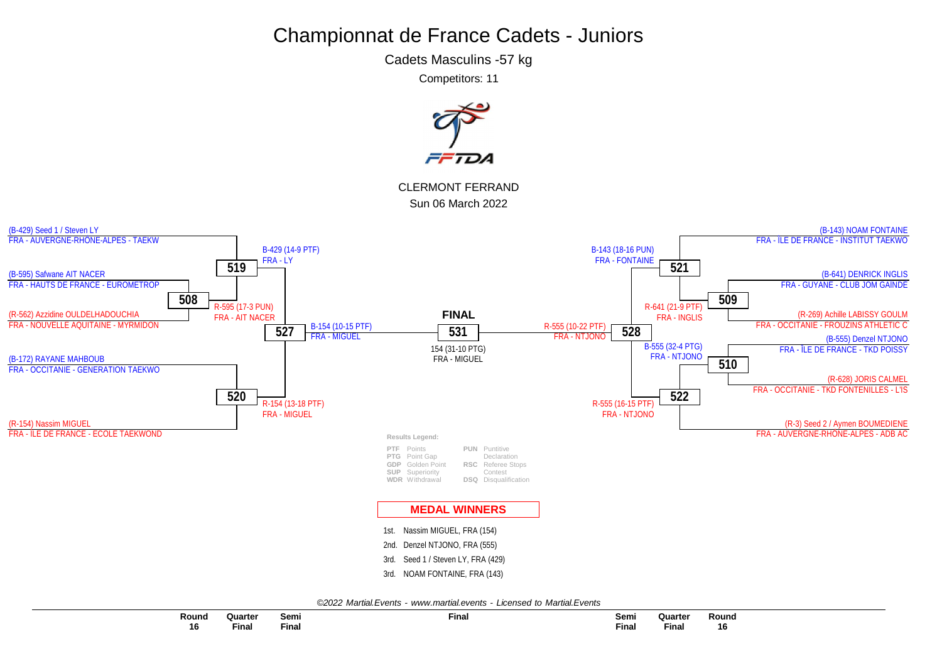Cadets Masculins -57 kg

Competitors: 11

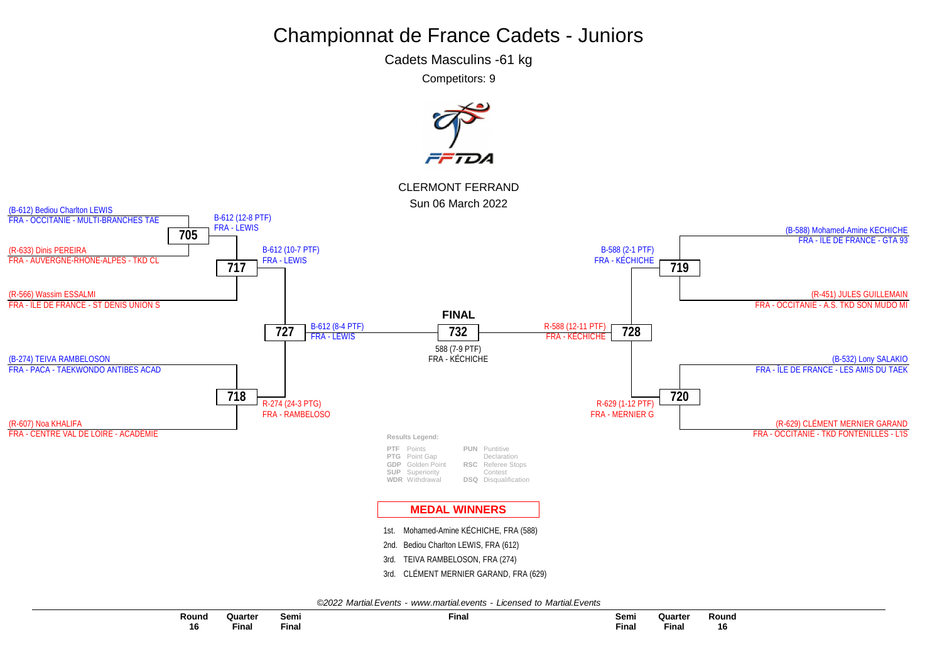Cadets Masculins -61 kg

Competitors: 9



*©2022 Martial.Events - [www.martial.events](http://www.martial.events) - Licensed to Martial.Events*